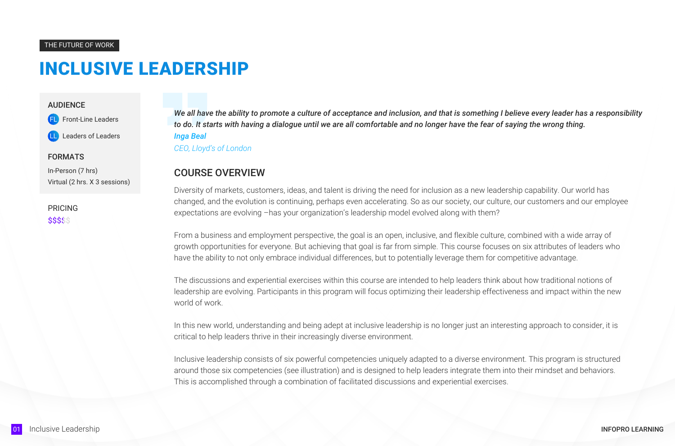PRICING \$\$\$\$\$

*We all have the ability to promote a culture of acceptance and inclusion, and that is something I believe every leader has a responsibility to do. It starts with having a dialogue until we are all comfortable and no longer have the fear of saying the wrong thing. Inga Beal CEO, Lloyd's of London*

#### THE FUTURE OF WORK

#### AUDIENCE

Front-Line Leaders

Leaders of Leaders

#### FORMATS

In-Person (7 hrs) Virtual (2 hrs. X 3 sessions)

### COURSE OVERVIEW

Diversity of markets, customers, ideas, and talent is driving the need for inclusion as a new leadership capability. Our world has changed, and the evolution is continuing, perhaps even accelerating. So as our society, our culture, our customers and our employee expectations are evolving –has your organization's leadership model evolved along with them?

From a business and employment perspective, the goal is an open, inclusive, and flexible culture, combined with a wide array of growth opportunities for everyone. But achieving that goal is far from simple. This course focuses on six attributes of leaders who have the ability to not only embrace individual differences, but to potentially leverage them for competitive advantage.

The discussions and experiential exercises within this course are intended to help leaders think about how traditional notions of leadership are evolving. Participants in this program will focus optimizing their leadership effectiveness and impact within the new world of work.

In this new world, understanding and being adept at inclusive leadership is no longer just an interesting approach to consider, it is critical to help leaders thrive in their increasingly diverse environment.

Inclusive leadership consists of six powerful competencies uniquely adapted to a diverse environment. This program is structured around those six competencies (see illustration) and is designed to help leaders integrate them into their mindset and behaviors. This is accomplished through a combination of facilitated discussions and experiential exercises.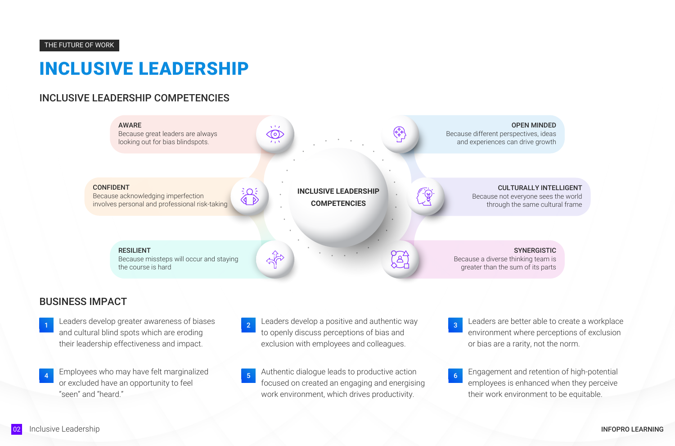# INCLUSIVE LEADERSHIP COMPETENCIES

OPEN MINDED



#### CULTURALLY INTELLIGENT

Because not everyone sees the world through the same cultural frame

SYNERGISTIC

## BUSINESS IMPACT

- to openly discuss perceptions of bias and exclusion with employees and colleagues.
- 
- Leaders develop greater awareness of biases and cultural blind spots which are eroding their leadership effectiveness and impact. 1 Leaders develop greater awareness of biases 2 Leaders develop a positive and authentic way 2 Leaders are better able to create a workplace
- Employees who may have felt marginalized or excluded have an opportunity to feel "seen" and "heard."

environment where perceptions of exclusion or bias are a rarity, not the norm.

3

employees is enhanced when they perceive their work environment to be equitable.

6

- 4 Employees who may have felt marginalized and the set of the state of the action of high-potential and retention of high-potential focused on created an engaging and energising work environment, which drives productivity.
- 02 Inclusive Leadership INFOPRO LEARNING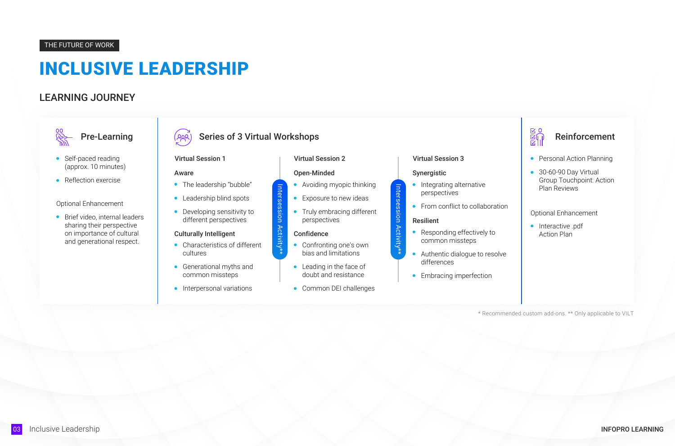### THE FUTURE OF WORK

# LEARNING JOURNEY

**RES** 

- Self-paced reading (approx. 10 minutes)
- Reflection exercise

**•** Brief video, internal leaders sharing their perspective on importance of cultural and generational respect.

# Pre-Learning  $\left( \rho_{\beta\beta} \right)$  Series of 3 Virtual Workshops

- Avoiding myopic thinking
- **Exposure to new ideas**
- **•** Truly embracing different perspectives

#### **Confidence**

#### Optional Enhancement

- Integrating alternative perspectives
- From conflict to collaboration



- The leadership "bubble"
- Leadership blind spots
- **•** Developing sensitivity to different perspectives

- Characteristics of different cultures
- Generational myths and common missteps
- **·** Interpersonal variations

#### Aware

#### Virtual Session 1

#### Open-Minded

#### Virtual Session 2

#### Synergistic

#### Virtual Session 3

Intersession Activity\*\*

Activity\*

Intersession

Intersession Activity\*\*

Intersession Activity\*

- Responding effectively to common missteps
- Authentic dialogue to resolve differences
- **•** Embracing imperfection

#### Culturally Intelligent

- Confronting one's own bias and limitations
- Leading in the face of doubt and resistance
- Common DEI challenges

#### Resilient

\* Recommended custom add-ons. \*\* Only applicable to VILT